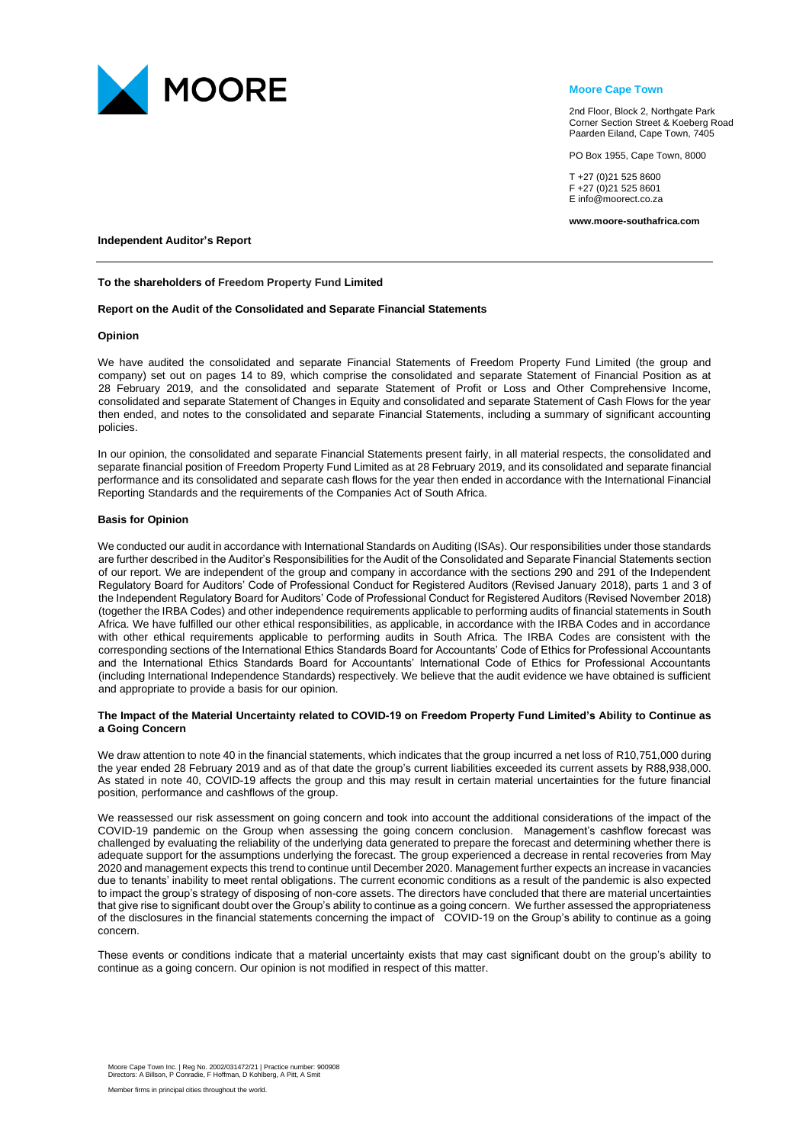

#### **Moore Cape Town**

2nd Floor, Block 2, Northgate Park Corner Section Street & Koeberg Road Paarden Eiland, Cape Town, 7405

PO Box 1955, Cape Town, 8000

T +27 (0)21 525 8600 F +27 (0)21 525 8601 E info@moorect.co.za

**www.moore-southafrica.com**

**Independent Auditor's Report** 

**To the shareholders of Freedom Property Fund Limited**

### **Report on the Audit of the Consolidated and Separate Financial Statements**

#### **Opinion**

We have audited the consolidated and separate Financial Statements of Freedom Property Fund Limited (the group and company) set out on pages 14 to 89, which comprise the consolidated and separate Statement of Financial Position as at 28 February 2019, and the consolidated and separate Statement of Profit or Loss and Other Comprehensive Income, consolidated and separate Statement of Changes in Equity and consolidated and separate Statement of Cash Flows for the year then ended, and notes to the consolidated and separate Financial Statements, including a summary of significant accounting policies.

In our opinion, the consolidated and separate Financial Statements present fairly, in all material respects, the consolidated and separate financial position of Freedom Property Fund Limited as at 28 February 2019, and its consolidated and separate financial performance and its consolidated and separate cash flows for the year then ended in accordance with the International Financial Reporting Standards and the requirements of the Companies Act of South Africa.

#### **Basis for Opinion**

We conducted our audit in accordance with International Standards on Auditing (ISAs). Our responsibilities under those standards are further described in the Auditor's Responsibilities for the Audit of the Consolidated and Separate Financial Statements section of our report. We are independent of the group and company in accordance with the sections 290 and 291 of the Independent Regulatory Board for Auditors' Code of Professional Conduct for Registered Auditors (Revised January 2018), parts 1 and 3 of the Independent Regulatory Board for Auditors' Code of Professional Conduct for Registered Auditors (Revised November 2018) (together the IRBA Codes) and other independence requirements applicable to performing audits of financial statements in South Africa. We have fulfilled our other ethical responsibilities, as applicable, in accordance with the IRBA Codes and in accordance with other ethical requirements applicable to performing audits in South Africa. The IRBA Codes are consistent with the corresponding sections of the International Ethics Standards Board for Accountants' Code of Ethics for Professional Accountants and the International Ethics Standards Board for Accountants' International Code of Ethics for Professional Accountants (including International Independence Standards) respectively. We believe that the audit evidence we have obtained is sufficient and appropriate to provide a basis for our opinion.

## **The Impact of the Material Uncertainty related to COVID-19 on Freedom Property Fund Limited's Ability to Continue as a Going Concern**

We draw attention to note 40 in the financial statements, which indicates that the group incurred a net loss of R10,751,000 during the year ended 28 February 2019 and as of that date the group's current liabilities exceeded its current assets by R88,938,000. As stated in note 40, COVID-19 affects the group and this may result in certain material uncertainties for the future financial position, performance and cashflows of the group.

We reassessed our risk assessment on going concern and took into account the additional considerations of the impact of the COVID-19 pandemic on the Group when assessing the going concern conclusion. Management's cashflow forecast was challenged by evaluating the reliability of the underlying data generated to prepare the forecast and determining whether there is adequate support for the assumptions underlying the forecast. The group experienced a decrease in rental recoveries from May 2020 and management expects this trend to continue until December 2020. Management further expects an increase in vacancies due to tenants' inability to meet rental obligations. The current economic conditions as a result of the pandemic is also expected to impact the group's strategy of disposing of non-core assets. The directors have concluded that there are material uncertainties that give rise to significant doubt over the Group's ability to continue as a going concern. We further assessed the appropriateness of the disclosures in the financial statements concerning the impact of COVID-19 on the Group's ability to continue as a going concern.

These events or conditions indicate that a material uncertainty exists that may cast significant doubt on the group's ability to continue as a going concern. Our opinion is not modified in respect of this matter.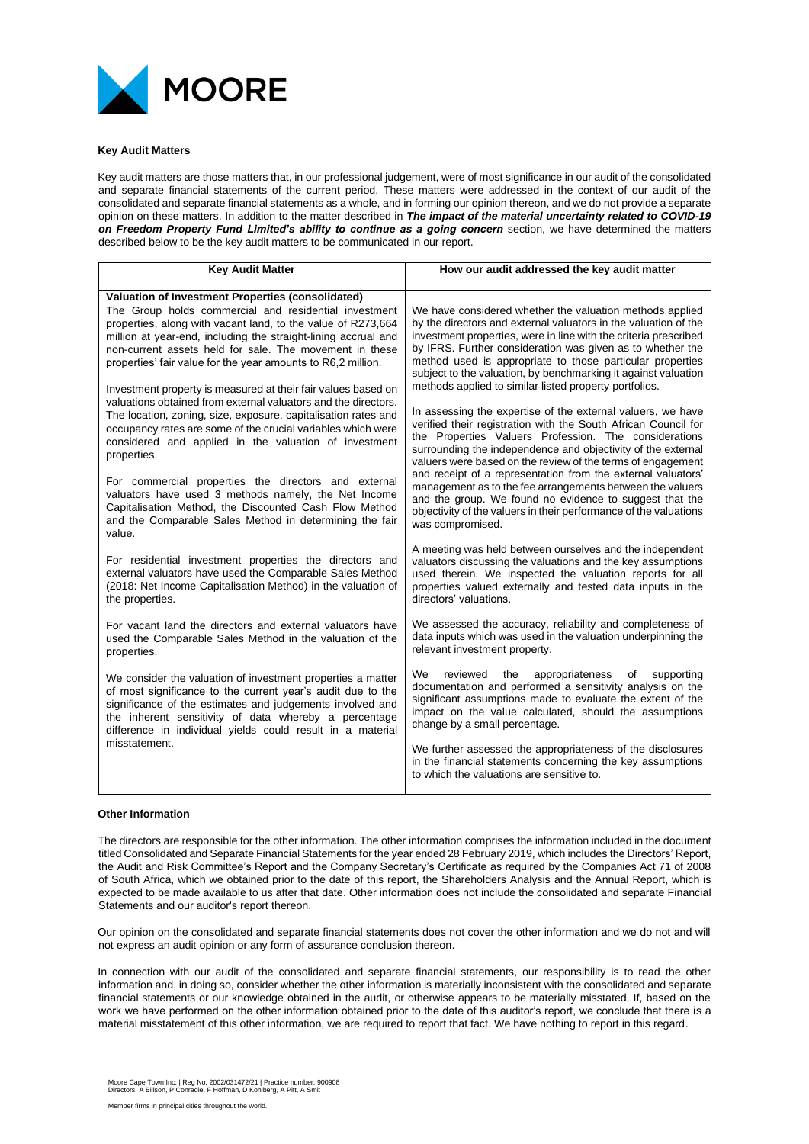

## **Key Audit Matters**

Key audit matters are those matters that, in our professional judgement, were of most significance in our audit of the consolidated and separate financial statements of the current period. These matters were addressed in the context of our audit of the consolidated and separate financial statements as a whole, and in forming our opinion thereon, and we do not provide a separate opinion on these matters. In addition to the matter described in *The impact of the material uncertainty related to COVID-19 on Freedom Property Fund Limited's ability to continue as a going concern* section, we have determined the matters described below to be the key audit matters to be communicated in our report.

| <b>Key Audit Matter</b>                                                                                                                                                                                                                                                                                                                   | How our audit addressed the key audit matter                                                                                                                                                                                                                                                                                                                                                 |
|-------------------------------------------------------------------------------------------------------------------------------------------------------------------------------------------------------------------------------------------------------------------------------------------------------------------------------------------|----------------------------------------------------------------------------------------------------------------------------------------------------------------------------------------------------------------------------------------------------------------------------------------------------------------------------------------------------------------------------------------------|
| Valuation of Investment Properties (consolidated)                                                                                                                                                                                                                                                                                         |                                                                                                                                                                                                                                                                                                                                                                                              |
| The Group holds commercial and residential investment<br>properties, along with vacant land, to the value of R273,664<br>million at year-end, including the straight-lining accrual and<br>non-current assets held for sale. The movement in these<br>properties' fair value for the year amounts to R6,2 million.                        | We have considered whether the valuation methods applied<br>by the directors and external valuators in the valuation of the<br>investment properties, were in line with the criteria prescribed<br>by IFRS. Further consideration was given as to whether the<br>method used is appropriate to those particular properties<br>subject to the valuation, by benchmarking it against valuation |
| Investment property is measured at their fair values based on<br>valuations obtained from external valuators and the directors.<br>The location, zoning, size, exposure, capitalisation rates and<br>occupancy rates are some of the crucial variables which were<br>considered and applied in the valuation of investment<br>properties. | methods applied to similar listed property portfolios.<br>In assessing the expertise of the external valuers, we have<br>verified their registration with the South African Council for<br>the Properties Valuers Profession. The considerations<br>surrounding the independence and objectivity of the external<br>valuers were based on the review of the terms of engagement              |
| For commercial properties the directors and external<br>valuators have used 3 methods namely, the Net Income<br>Capitalisation Method, the Discounted Cash Flow Method<br>and the Comparable Sales Method in determining the fair<br>value.                                                                                               | and receipt of a representation from the external valuators'<br>management as to the fee arrangements between the valuers<br>and the group. We found no evidence to suggest that the<br>objectivity of the valuers in their performance of the valuations<br>was compromised.                                                                                                                |
| For residential investment properties the directors and<br>external valuators have used the Comparable Sales Method<br>(2018: Net Income Capitalisation Method) in the valuation of<br>the properties.                                                                                                                                    | A meeting was held between ourselves and the independent<br>valuators discussing the valuations and the key assumptions<br>used therein. We inspected the valuation reports for all<br>properties valued externally and tested data inputs in the<br>directors' valuations.                                                                                                                  |
| For vacant land the directors and external valuators have<br>used the Comparable Sales Method in the valuation of the<br>properties.                                                                                                                                                                                                      | We assessed the accuracy, reliability and completeness of<br>data inputs which was used in the valuation underpinning the<br>relevant investment property.                                                                                                                                                                                                                                   |
| We consider the valuation of investment properties a matter<br>of most significance to the current year's audit due to the<br>significance of the estimates and judgements involved and<br>the inherent sensitivity of data whereby a percentage<br>difference in individual yields could result in a material                            | We<br>reviewed<br>the<br>appropriateness<br>of<br>supporting<br>documentation and performed a sensitivity analysis on the<br>significant assumptions made to evaluate the extent of the<br>impact on the value calculated, should the assumptions<br>change by a small percentage.                                                                                                           |
| misstatement.                                                                                                                                                                                                                                                                                                                             | We further assessed the appropriateness of the disclosures<br>in the financial statements concerning the key assumptions<br>to which the valuations are sensitive to.                                                                                                                                                                                                                        |

### **Other Information**

The directors are responsible for the other information. The other information comprises the information included in the document titled Consolidated and Separate Financial Statements for the year ended 28 February 2019, which includes the Directors' Report, the Audit and Risk Committee's Report and the Company Secretary's Certificate as required by the Companies Act 71 of 2008 of South Africa, which we obtained prior to the date of this report, the Shareholders Analysis and the Annual Report, which is expected to be made available to us after that date. Other information does not include the consolidated and separate Financial Statements and our auditor's report thereon.

Our opinion on the consolidated and separate financial statements does not cover the other information and we do not and will not express an audit opinion or any form of assurance conclusion thereon.

In connection with our audit of the consolidated and separate financial statements, our responsibility is to read the other information and, in doing so, consider whether the other information is materially inconsistent with the consolidated and separate financial statements or our knowledge obtained in the audit, or otherwise appears to be materially misstated. If, based on the work we have performed on the other information obtained prior to the date of this auditor's report, we conclude that there is a material misstatement of this other information, we are required to report that fact. We have nothing to report in this regard.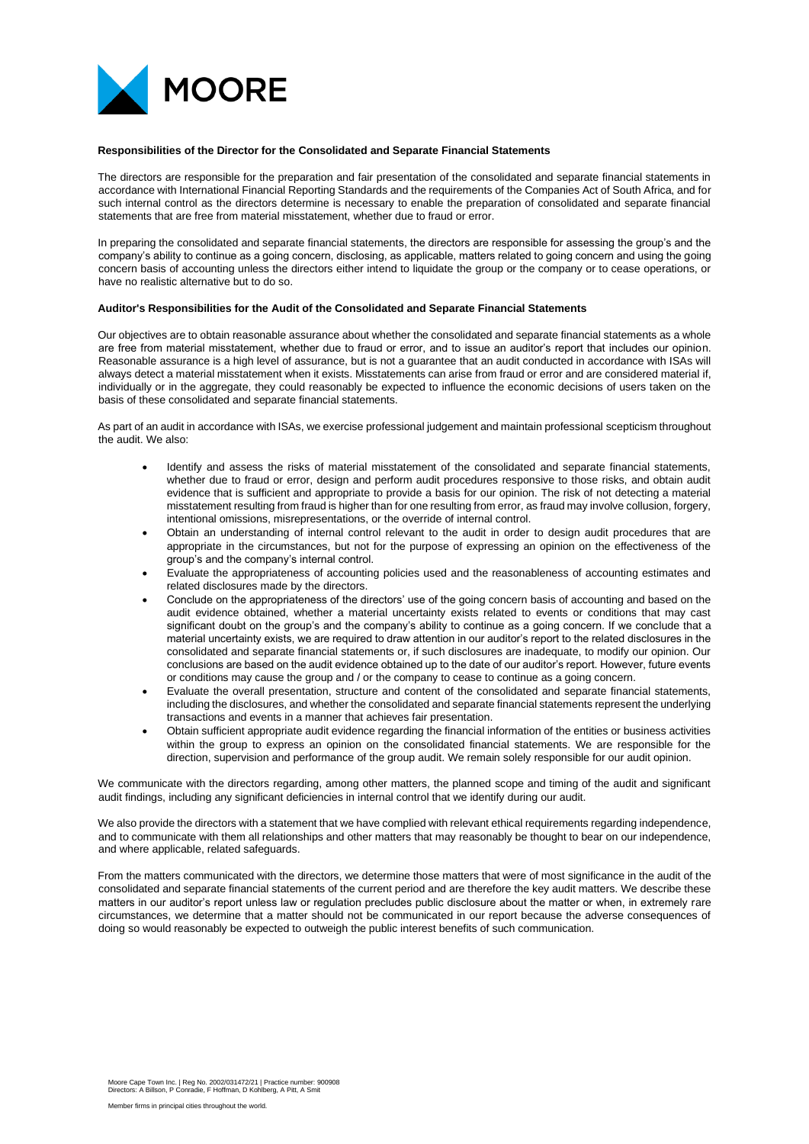

### **Responsibilities of the Director for the Consolidated and Separate Financial Statements**

The directors are responsible for the preparation and fair presentation of the consolidated and separate financial statements in accordance with International Financial Reporting Standards and the requirements of the Companies Act of South Africa, and for such internal control as the directors determine is necessary to enable the preparation of consolidated and separate financial statements that are free from material misstatement, whether due to fraud or error.

In preparing the consolidated and separate financial statements, the directors are responsible for assessing the group's and the company's ability to continue as a going concern, disclosing, as applicable, matters related to going concern and using the going concern basis of accounting unless the directors either intend to liquidate the group or the company or to cease operations, or have no realistic alternative but to do so.

## **Auditor's Responsibilities for the Audit of the Consolidated and Separate Financial Statements**

Our objectives are to obtain reasonable assurance about whether the consolidated and separate financial statements as a whole are free from material misstatement, whether due to fraud or error, and to issue an auditor's report that includes our opinion. Reasonable assurance is a high level of assurance, but is not a guarantee that an audit conducted in accordance with ISAs will always detect a material misstatement when it exists. Misstatements can arise from fraud or error and are considered material if, individually or in the aggregate, they could reasonably be expected to influence the economic decisions of users taken on the basis of these consolidated and separate financial statements.

As part of an audit in accordance with ISAs, we exercise professional judgement and maintain professional scepticism throughout the audit. We also:

- Identify and assess the risks of material misstatement of the consolidated and separate financial statements, whether due to fraud or error, design and perform audit procedures responsive to those risks, and obtain audit evidence that is sufficient and appropriate to provide a basis for our opinion. The risk of not detecting a material misstatement resulting from fraud is higher than for one resulting from error, as fraud may involve collusion, forgery, intentional omissions, misrepresentations, or the override of internal control.
- Obtain an understanding of internal control relevant to the audit in order to design audit procedures that are appropriate in the circumstances, but not for the purpose of expressing an opinion on the effectiveness of the group's and the company's internal control.
- Evaluate the appropriateness of accounting policies used and the reasonableness of accounting estimates and related disclosures made by the directors.
- Conclude on the appropriateness of the directors' use of the going concern basis of accounting and based on the audit evidence obtained, whether a material uncertainty exists related to events or conditions that may cast significant doubt on the group's and the company's ability to continue as a going concern. If we conclude that a material uncertainty exists, we are required to draw attention in our auditor's report to the related disclosures in the consolidated and separate financial statements or, if such disclosures are inadequate, to modify our opinion. Our conclusions are based on the audit evidence obtained up to the date of our auditor's report. However, future events or conditions may cause the group and / or the company to cease to continue as a going concern.
- Evaluate the overall presentation, structure and content of the consolidated and separate financial statements, including the disclosures, and whether the consolidated and separate financial statements represent the underlying transactions and events in a manner that achieves fair presentation.
- Obtain sufficient appropriate audit evidence regarding the financial information of the entities or business activities within the group to express an opinion on the consolidated financial statements. We are responsible for the direction, supervision and performance of the group audit. We remain solely responsible for our audit opinion.

We communicate with the directors regarding, among other matters, the planned scope and timing of the audit and significant audit findings, including any significant deficiencies in internal control that we identify during our audit.

We also provide the directors with a statement that we have complied with relevant ethical requirements regarding independence, and to communicate with them all relationships and other matters that may reasonably be thought to bear on our independence, and where applicable, related safeguards.

From the matters communicated with the directors, we determine those matters that were of most significance in the audit of the consolidated and separate financial statements of the current period and are therefore the key audit matters. We describe these matters in our auditor's report unless law or regulation precludes public disclosure about the matter or when, in extremely rare circumstances, we determine that a matter should not be communicated in our report because the adverse consequences of doing so would reasonably be expected to outweigh the public interest benefits of such communication.